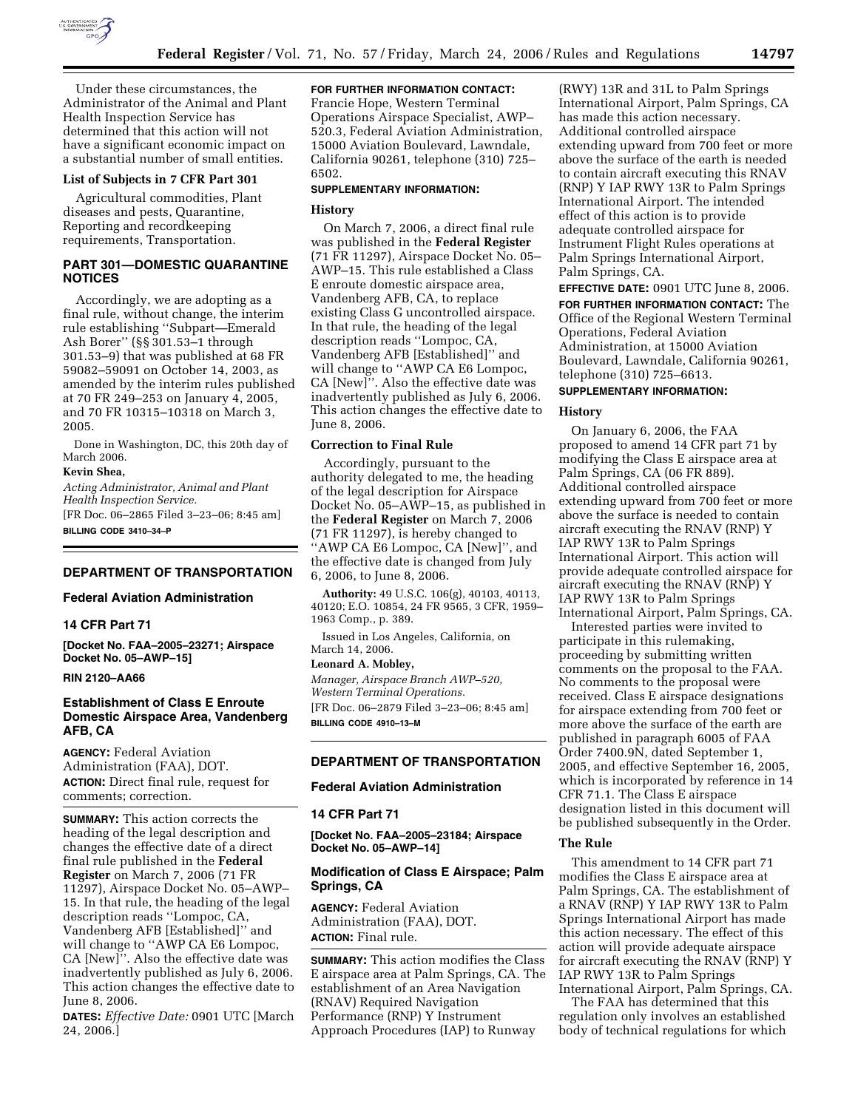

Under these circumstances, the Administrator of the Animal and Plant Health Inspection Service has determined that this action will not have a significant economic impact on a substantial number of small entities.

### **List of Subjects in 7 CFR Part 301**

Agricultural commodities, Plant diseases and pests, Quarantine, Reporting and recordkeeping requirements, Transportation.

# **PART 301—DOMESTIC QUARANTINE NOTICES**

Accordingly, we are adopting as a final rule, without change, the interim rule establishing ''Subpart—Emerald Ash Borer'' (§§ 301.53–1 through 301.53–9) that was published at 68 FR 59082–59091 on October 14, 2003, as amended by the interim rules published at 70 FR 249–253 on January 4, 2005, and 70 FR 10315–10318 on March 3, 2005.

Done in Washington, DC, this 20th day of March 2006.

### **Kevin Shea,**

*Acting Administrator, Animal and Plant Health Inspection Service.* 

[FR Doc. 06–2865 Filed 3–23–06; 8:45 am] **BILLING CODE 3410–34–P** 

### **DEPARTMENT OF TRANSPORTATION**

### **Federal Aviation Administration**

## **14 CFR Part 71**

**[Docket No. FAA–2005–23271; Airspace Docket No. 05–AWP–15]** 

#### **RIN 2120–AA66**

# **Establishment of Class E Enroute Domestic Airspace Area, Vandenberg AFB, CA**

**AGENCY:** Federal Aviation Administration (FAA), DOT. **ACTION:** Direct final rule, request for comments; correction.

**SUMMARY:** This action corrects the heading of the legal description and changes the effective date of a direct final rule published in the **Federal Register** on March 7, 2006 (71 FR 11297), Airspace Docket No. 05–AWP– 15. In that rule, the heading of the legal description reads ''Lompoc, CA, Vandenberg AFB [Established]'' and will change to ''AWP CA E6 Lompoc, CA [New]''. Also the effective date was inadvertently published as July 6, 2006. This action changes the effective date to June 8, 2006.

**DATES:** *Effective Date:* 0901 UTC [March 24, 2006.]

### **FOR FURTHER INFORMATION CONTACT:**

Francie Hope, Western Terminal Operations Airspace Specialist, AWP– 520.3, Federal Aviation Administration, 15000 Aviation Boulevard, Lawndale, California 90261, telephone (310) 725– 6502.

### **SUPPLEMENTARY INFORMATION:**

#### **History**

On March 7, 2006, a direct final rule was published in the **Federal Register**  (71 FR 11297), Airspace Docket No. 05– AWP–15. This rule established a Class E enroute domestic airspace area, Vandenberg AFB, CA, to replace existing Class G uncontrolled airspace. In that rule, the heading of the legal description reads ''Lompoc, CA, Vandenberg AFB [Established]'' and will change to ''AWP CA E6 Lompoc, CA [New]''. Also the effective date was inadvertently published as July 6, 2006. This action changes the effective date to June 8, 2006.

### **Correction to Final Rule**

Accordingly, pursuant to the authority delegated to me, the heading of the legal description for Airspace Docket No. 05–AWP–15, as published in the **Federal Register** on March 7, 2006 (71 FR 11297), is hereby changed to ''AWP CA E6 Lompoc, CA [New]'', and the effective date is changed from July 6, 2006, to June 8, 2006.

**Authority:** 49 U.S.C. 106(g), 40103, 40113, 40120; E.O. 10854, 24 FR 9565, 3 CFR, 1959– 1963 Comp., p. 389.

Issued in Los Angeles, California, on March 14, 2006.

### **Leonard A. Mobley,**

*Manager, Airspace Branch AWP–520, Western Terminal Operations.*  [FR Doc. 06–2879 Filed 3–23–06; 8:45 am] **BILLING CODE 4910–13–M** 

# **DEPARTMENT OF TRANSPORTATION**

# **Federal Aviation Administration**

## **14 CFR Part 71**

**[Docket No. FAA–2005–23184; Airspace Docket No. 05–AWP–14]** 

# **Modification of Class E Airspace; Palm Springs, CA**

**AGENCY:** Federal Aviation Administration (FAA), DOT. **ACTION:** Final rule.

**SUMMARY:** This action modifies the Class E airspace area at Palm Springs, CA. The establishment of an Area Navigation (RNAV) Required Navigation Performance (RNP) Y Instrument Approach Procedures (IAP) to Runway

(RWY) 13R and 31L to Palm Springs International Airport, Palm Springs, CA has made this action necessary. Additional controlled airspace extending upward from 700 feet or more above the surface of the earth is needed to contain aircraft executing this RNAV (RNP) Y IAP RWY 13R to Palm Springs International Airport. The intended effect of this action is to provide adequate controlled airspace for Instrument Flight Rules operations at Palm Springs International Airport, Palm Springs, CA.

**EFFECTIVE DATE:** 0901 UTC June 8, 2006.

**FOR FURTHER INFORMATION CONTACT:** The Office of the Regional Western Terminal Operations, Federal Aviation Administration, at 15000 Aviation Boulevard, Lawndale, California 90261, telephone (310) 725–6613.

# **SUPPLEMENTARY INFORMATION:**

#### **History**

On January 6, 2006, the FAA proposed to amend 14 CFR part 71 by modifying the Class E airspace area at Palm Springs, CA (06 FR 889). Additional controlled airspace extending upward from 700 feet or more above the surface is needed to contain aircraft executing the RNAV (RNP) Y IAP RWY 13R to Palm Springs International Airport. This action will provide adequate controlled airspace for aircraft executing the RNAV (RNP) Y IAP RWY 13R to Palm Springs International Airport, Palm Springs, CA.

Interested parties were invited to participate in this rulemaking, proceeding by submitting written comments on the proposal to the FAA. No comments to the proposal were received. Class E airspace designations for airspace extending from 700 feet or more above the surface of the earth are published in paragraph 6005 of FAA Order 7400.9N, dated September 1, 2005, and effective September 16, 2005, which is incorporated by reference in 14 CFR 71.1. The Class E airspace designation listed in this document will be published subsequently in the Order.

#### **The Rule**

This amendment to 14 CFR part 71 modifies the Class E airspace area at Palm Springs, CA. The establishment of a RNAV (RNP) Y IAP RWY 13R to Palm Springs International Airport has made this action necessary. The effect of this action will provide adequate airspace for aircraft executing the RNAV (RNP) Y IAP RWY 13R to Palm Springs International Airport, Palm Springs, CA.

The FAA has determined that this regulation only involves an established body of technical regulations for which